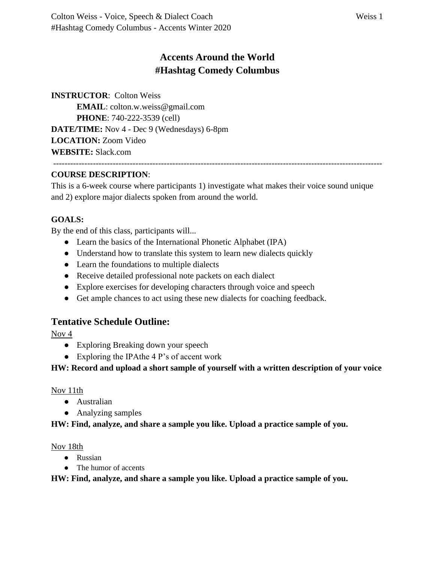# **Accents Around the World #Hashtag Comedy Columbus**

**INSTRUCTOR**: Colton Weiss **EMAIL**: colton.w.weiss@gmail.com **PHONE**: 740-222-3539 (cell) **DATE/TIME:** Nov 4 - Dec 9 (Wednesdays) 6-8pm **LOCATION:** Zoom Video **WEBSITE:** Slack.com

### **COURSE DESCRIPTION**:

This is a 6-week course where participants 1) investigate what makes their voice sound unique and 2) explore major dialects spoken from around the world.

--------------------------------------------------------------------------------------------------------------------

## **GOALS:**

By the end of this class, participants will...

- Learn the basics of the International Phonetic Alphabet (IPA)
- Understand how to translate this system to learn new dialects quickly
- Learn the foundations to multiple dialects
- Receive detailed professional note packets on each dialect
- Explore exercises for developing characters through voice and speech
- Get ample chances to act using these new dialects for coaching feedback.

## **Tentative Schedule Outline:**

Nov 4

- Exploring Breaking down your speech
- $\bullet$  Exploring the IPAthe 4 P's of accent work

#### **HW: Record and upload a short sample of yourself with a written description of your voice**

#### Nov 11th

- Australian
- Analyzing samples

**HW: Find, analyze, and share a sample you like. Upload a practice sample of you.**

#### Nov 18th

- Russian
- The humor of accents

**HW: Find, analyze, and share a sample you like. Upload a practice sample of you.**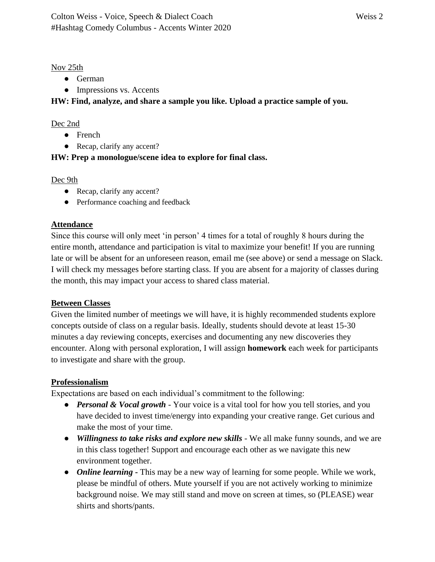#### Nov 25th

- German
- Impressions vs. Accents

**HW: Find, analyze, and share a sample you like. Upload a practice sample of you.**

### Dec 2nd

- French
- Recap, clarify any accent?

## **HW: Prep a monologue/scene idea to explore for final class.**

### Dec 9th

- Recap, clarify any accent?
- Performance coaching and feedback

## **Attendance**

Since this course will only meet 'in person' 4 times for a total of roughly 8 hours during the entire month, attendance and participation is vital to maximize your benefit! If you are running late or will be absent for an unforeseen reason, email me (see above) or send a message on Slack. I will check my messages before starting class. If you are absent for a majority of classes during the month, this may impact your access to shared class material.

## **Between Classes**

Given the limited number of meetings we will have, it is highly recommended students explore concepts outside of class on a regular basis. Ideally, students should devote at least 15-30 minutes a day reviewing concepts, exercises and documenting any new discoveries they encounter. Along with personal exploration, I will assign **homework** each week for participants to investigate and share with the group.

## **Professionalism**

Expectations are based on each individual's commitment to the following:

- *Personal & Vocal growth* Your voice is a vital tool for how you tell stories, and you have decided to invest time/energy into expanding your creative range. Get curious and make the most of your time.
- *Willingness to take risks and explore new skills* We all make funny sounds, and we are in this class together! Support and encourage each other as we navigate this new environment together.
- *Online learning -* This may be a new way of learning for some people. While we work, please be mindful of others. Mute yourself if you are not actively working to minimize background noise. We may still stand and move on screen at times, so (PLEASE) wear shirts and shorts/pants.